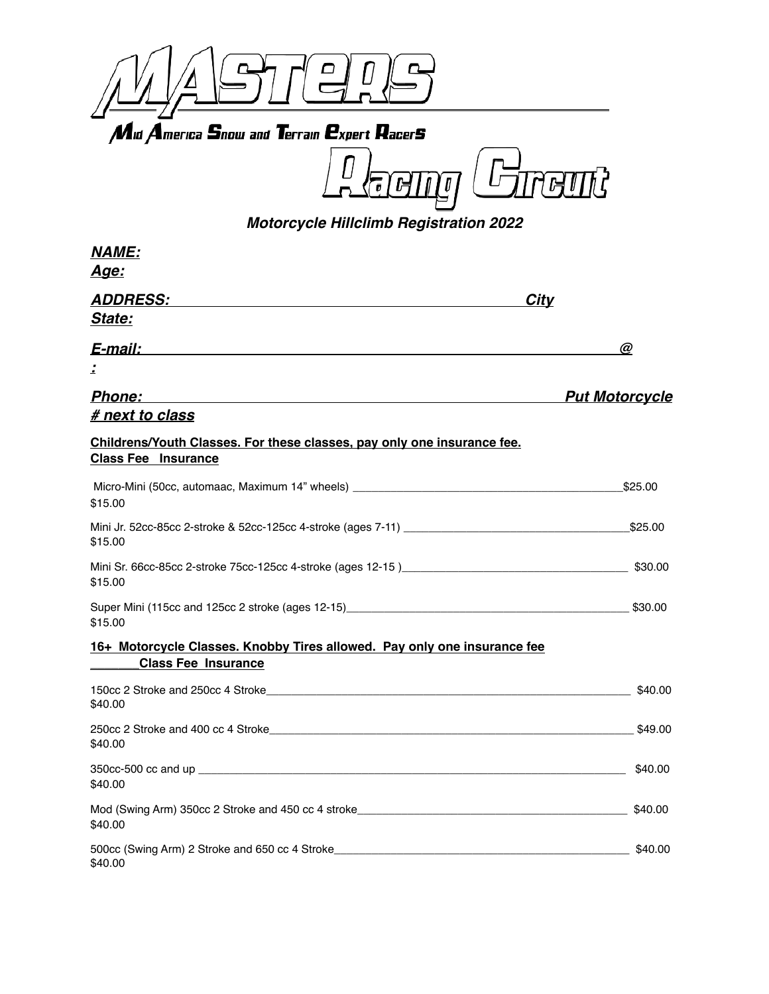

**eur** L  $^{\prime}$  0 ŀ  $\pmb{\sigma}$ 

*Motorcycle Hillclimb Registration 2022*

| <b>NAME:</b>                                                                                                                                                                                                                              |                       |
|-------------------------------------------------------------------------------------------------------------------------------------------------------------------------------------------------------------------------------------------|-----------------------|
| <u> Age:</u>                                                                                                                                                                                                                              |                       |
| <i><b>ADDRESS:</b></i>                                                                                                                                                                                                                    | <b>City</b>           |
| State:                                                                                                                                                                                                                                    |                       |
| E-mail: explorer and the set of the set of the set of the set of the set of the set of the set of the set of the set of the set of the set of the set of the set of the set of the set of the set of the set of the set of the            | $\omega$              |
| A.                                                                                                                                                                                                                                        |                       |
| <b>Phone:</b><br>and the control of the control of the control of the control of the control of the control of the control of the                                                                                                         | <b>Put Motorcycle</b> |
| # next to class                                                                                                                                                                                                                           |                       |
| Childrens/Youth Classes. For these classes, pay only one insurance fee.<br><b>Class Fee Insurance</b>                                                                                                                                     |                       |
| Micro-Mini (50cc, automaac, Maximum 14" wheels) _________________________________<br>\$15.00                                                                                                                                              | \$25.00               |
| \$15.00                                                                                                                                                                                                                                   | \$25.00               |
| \$15.00                                                                                                                                                                                                                                   |                       |
| \$15.00                                                                                                                                                                                                                                   |                       |
| 16+ Motorcycle Classes. Knobby Tires allowed. Pay only one insurance fee<br><b>Class Fee Insurance</b>                                                                                                                                    |                       |
| \$40.00                                                                                                                                                                                                                                   | \$40.00               |
| \$40.00                                                                                                                                                                                                                                   | \$49.00               |
| 350cc-500 cc and up and the contract of the contract of the contract of the contract of the contract of the contract of the contract of the contract of the contract of the contract of the contract of the contract of the co<br>\$40.00 | \$40.00               |
| Mod (Swing Arm) 350cc 2 Stroke and 450 cc 4 stroke______________________________<br>\$40.00                                                                                                                                               | \$40.00               |
| 500cc (Swing Arm) 2 Stroke and 650 cc 4 Stroke___________________________________<br>\$40.00                                                                                                                                              | \$40.00               |